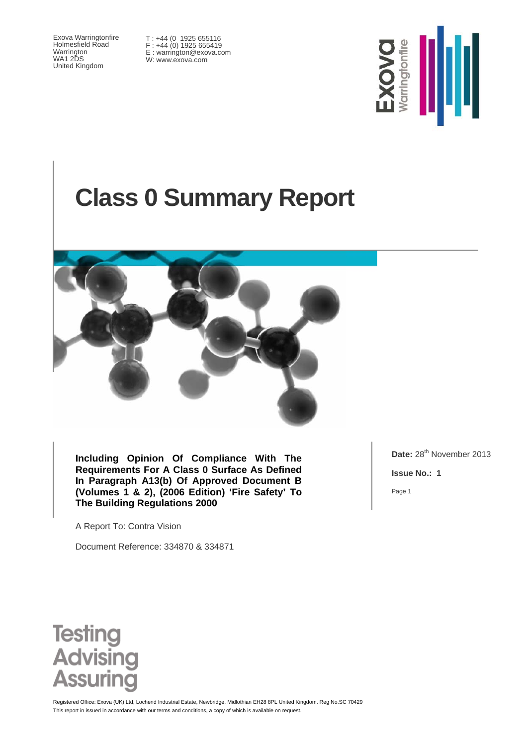Exova Warringtonfire Holmesfield Road Warrington WA1 2DS United Kingdom

T : +44 (0 1925 655116 F : +44 (0) 1925 655419 E : warrington@exova.com W: www.exova.com



# **Class 0 Summary Report**



**Including Opinion Of Compliance With The Requirements For A Class 0 Surface As Defined In Paragraph A13(b) Of Approved Document B (Volumes 1 & 2), (2006 Edition) 'Fire Safety' To The Building Regulations 2000** 

A Report To: Contra Vision

Document Reference: 334870 & 334871

Date: 28<sup>th</sup> November 2013

**Issue No.: 1** 

Page 1



This report in issued in accordance with our terms and conditions, a copy of which is available on request. Registered Office: Exova (UK) Ltd, Lochend Industrial Estate, Newbridge, Midlothian EH28 8PL United Kingdom. Reg No.SC 70429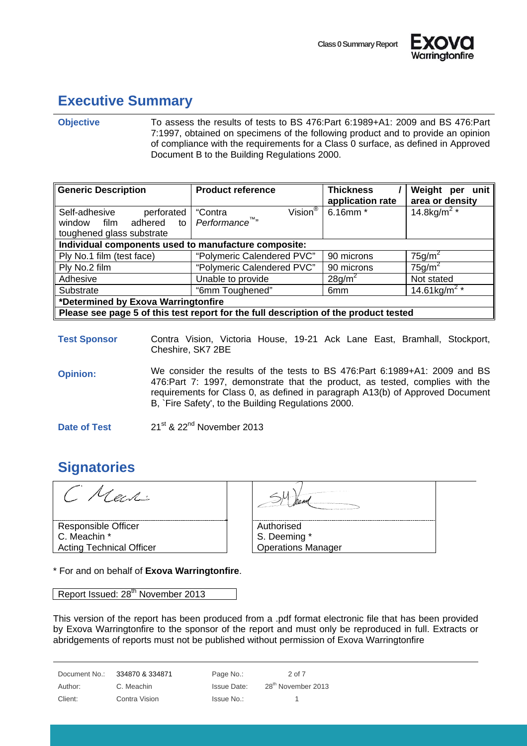



### **Executive Summary**

#### **Objective** To assess the results of tests to BS 476:Part 6:1989+A1: 2009 and BS 476:Part 7:1997, obtained on specimens of the following product and to provide an opinion of compliance with the requirements for a Class 0 surface, as defined in Approved Document B to the Building Regulations 2000.

| <b>Generic Description</b>                                                           | <b>Product reference</b>       | <b>Thickness</b><br>application rate | Weight per unit<br>area or density |  |
|--------------------------------------------------------------------------------------|--------------------------------|--------------------------------------|------------------------------------|--|
| Self-adhesive<br>perforated                                                          | Vision $^\circledR$<br>"Contra | 6.16mm *                             | 14.8kg/m <sup>2</sup> *            |  |
| adhered to<br>window film                                                            | Performance <sup>™</sup> "     |                                      |                                    |  |
| toughened glass substrate                                                            |                                |                                      |                                    |  |
| Individual components used to manufacture composite:                                 |                                |                                      |                                    |  |
| Ply No.1 film (test face)                                                            | "Polymeric Calendered PVC"     | 90 microns                           | $75$ g/m <sup>2</sup>              |  |
| Ply No.2 film                                                                        | "Polymeric Calendered PVC"     | 90 microns                           | $75$ g/m <sup>2</sup>              |  |
| Adhesive                                                                             | Unable to provide              | 28g/m <sup>2</sup>                   | Not stated                         |  |
| Substrate                                                                            | "6mm Toughened"                | 6 <sub>mm</sub>                      | 14.61kg/m <sup>2</sup> *           |  |
| *Determined by Exova Warringtonfire                                                  |                                |                                      |                                    |  |
| Please see page 5 of this test report for the full description of the product tested |                                |                                      |                                    |  |

**Test Sponsor** Contra Vision, Victoria House, 19-21 Ack Lane East, Bramhall, Stockport, Cheshire, SK7 2BE

**Opinion:** We consider the results of the tests to BS 476:Part 6:1989+A1: 2009 and BS 476:Part 7: 1997, demonstrate that the product, as tested, complies with the requirements for Class 0, as defined in paragraph A13(b) of Approved Document B, `Fire Safety', to the Building Regulations 2000.

**Date of Test** 21<sup>st</sup> & 22<sup>nd</sup> November 2013

#### **Signatories**

Cech Responsible Officer C. Meachin \*

Acting Technical Officer

| NAME OF OCCUPANT OR OTHER DESIGNATION. |  |
|----------------------------------------|--|
| Authorised                             |  |
| S. Deeming *                           |  |
| <b>Operations Manager</b>              |  |

\* For and on behalf of **Exova Warringtonfire**.

Report Issued: 28<sup>th</sup> November 2013

This version of the report has been produced from a .pdf format electronic file that has been provided by Exova Warringtonfire to the sponsor of the report and must only be reproduced in full. Extracts or abridgements of reports must not be published without permission of Exova Warringtonfire

Document No.: 334870 & 334871 Page No.: 2 of 7 Author: C. Meachin Issue Date: 28<sup>th</sup> November 2013

Client: Contra Vision Contra Vision Issue No.: 1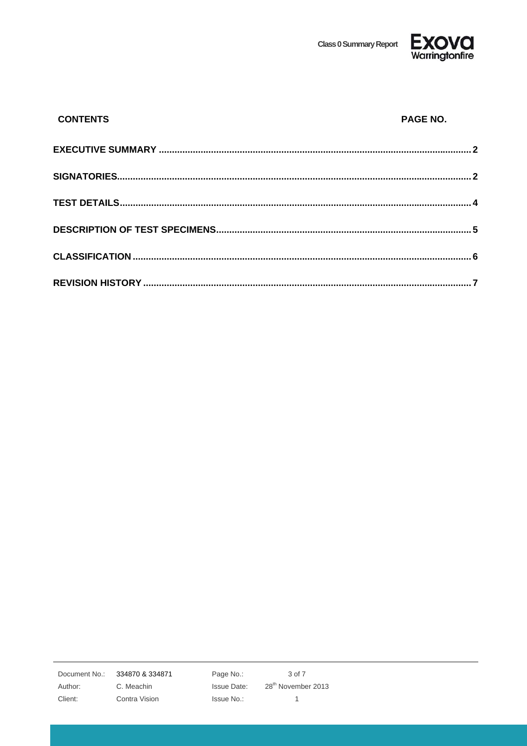**Class 0 Summary Report** 



| <b>CONTENTS</b> | PAGE NO. |
|-----------------|----------|
|                 |          |
|                 |          |
|                 |          |
|                 |          |
|                 |          |
|                 |          |

Document No.: 334870 & 334871

Author:

Client:

C. Meachin Contra Vision Page No.: Issue Date: Issue No.:

3 of 7 28<sup>th</sup> November 2013  $\mathbf{1}$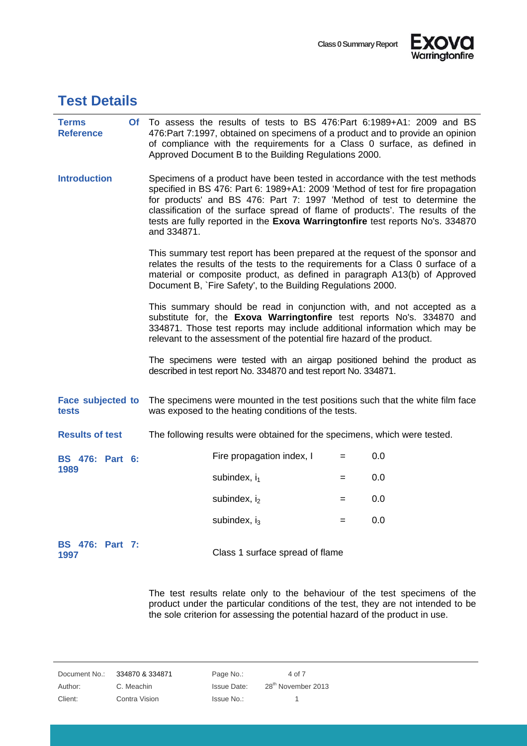



#### **Test Details**

| <b>Terms</b><br><b>Reference</b>  |             | Of To assess the results of tests to BS 476:Part 6:1989+A1: 2009 and BS<br>476: Part 7:1997, obtained on specimens of a product and to provide an opinion<br>of compliance with the requirements for a Class 0 surface, as defined in<br>Approved Document B to the Building Regulations 2000.               |                                                                                                                                                                                                                                                                                                                                                                                                               |     |     |
|-----------------------------------|-------------|--------------------------------------------------------------------------------------------------------------------------------------------------------------------------------------------------------------------------------------------------------------------------------------------------------------|---------------------------------------------------------------------------------------------------------------------------------------------------------------------------------------------------------------------------------------------------------------------------------------------------------------------------------------------------------------------------------------------------------------|-----|-----|
| <b>Introduction</b>               | and 334871. |                                                                                                                                                                                                                                                                                                              | Specimens of a product have been tested in accordance with the test methods<br>specified in BS 476: Part 6: 1989+A1: 2009 'Method of test for fire propagation<br>for products' and BS 476: Part 7: 1997 'Method of test to determine the<br>classification of the surface spread of flame of products'. The results of the<br>tests are fully reported in the Exova Warringtonfire test reports No's. 334870 |     |     |
|                                   |             | This summary test report has been prepared at the request of the sponsor and<br>relates the results of the tests to the requirements for a Class 0 surface of a<br>material or composite product, as defined in paragraph A13(b) of Approved<br>Document B, `Fire Safety', to the Building Regulations 2000. |                                                                                                                                                                                                                                                                                                                                                                                                               |     |     |
|                                   |             | This summary should be read in conjunction with, and not accepted as a<br>substitute for, the Exova Warringtonfire test reports No's. 334870 and<br>334871. Those test reports may include additional information which may be<br>relevant to the assessment of the potential fire hazard of the product.    |                                                                                                                                                                                                                                                                                                                                                                                                               |     |     |
|                                   |             |                                                                                                                                                                                                                                                                                                              | The specimens were tested with an airgap positioned behind the product as<br>described in test report No. 334870 and test report No. 334871.                                                                                                                                                                                                                                                                  |     |     |
| <b>Face subjected to</b><br>tests |             |                                                                                                                                                                                                                                                                                                              | The specimens were mounted in the test positions such that the white film face<br>was exposed to the heating conditions of the tests.                                                                                                                                                                                                                                                                         |     |     |
| <b>Results of test</b>            |             |                                                                                                                                                                                                                                                                                                              | The following results were obtained for the specimens, which were tested.                                                                                                                                                                                                                                                                                                                                     |     |     |
| <b>BS</b> 476: Part 6:            |             |                                                                                                                                                                                                                                                                                                              | Fire propagation index, I                                                                                                                                                                                                                                                                                                                                                                                     | $=$ | 0.0 |
| 1989                              |             | subindex, $i_1$                                                                                                                                                                                                                                                                                              | $=$                                                                                                                                                                                                                                                                                                                                                                                                           | 0.0 |     |
|                                   |             |                                                                                                                                                                                                                                                                                                              | subindex, $i_2$                                                                                                                                                                                                                                                                                                                                                                                               | $=$ | 0.0 |
|                                   |             |                                                                                                                                                                                                                                                                                                              | subindex, $i_3$                                                                                                                                                                                                                                                                                                                                                                                               | $=$ | 0.0 |
| <b>BS</b> 476: Part 7:<br>1997    |             |                                                                                                                                                                                                                                                                                                              | Class 1 surface spread of flame                                                                                                                                                                                                                                                                                                                                                                               |     |     |

The test results relate only to the behaviour of the test specimens of the product under the particular conditions of the test, they are not intended to be the sole criterion for assessing the potential hazard of the product in use.

Document No.: 334870 & 334871 Page No.: 4 of 7 Author: C. Meachin Issue Date: 28<sup>th</sup> November 2013

Client: Contra Vision Issue No.: 1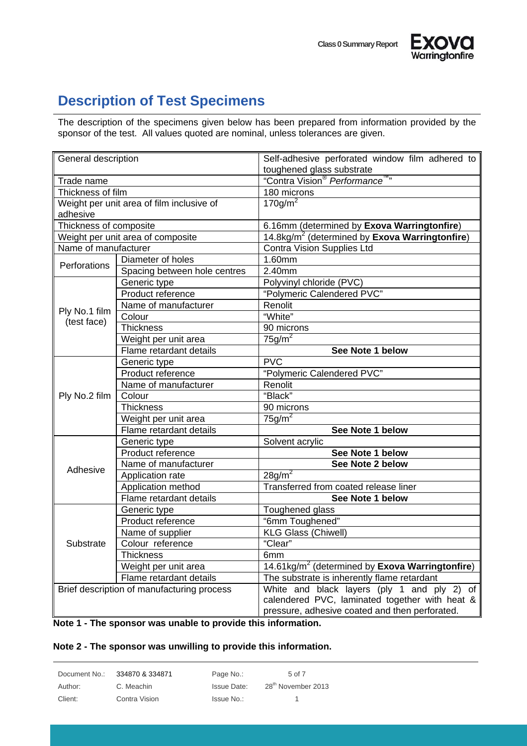



### **Description of Test Specimens**

The description of the specimens given below has been prepared from information provided by the sponsor of the test. All values quoted are nominal, unless tolerances are given.

| toughened glass substrate<br>"Contra Vision <sup>®</sup> Performance <sup>™</sup> "<br>Trade name<br>Thickness of film<br>180 microns<br>$170$ g/m <sup><math>2</math></sup><br>Weight per unit area of film inclusive of |                            |  |
|---------------------------------------------------------------------------------------------------------------------------------------------------------------------------------------------------------------------------|----------------------------|--|
|                                                                                                                                                                                                                           |                            |  |
|                                                                                                                                                                                                                           |                            |  |
|                                                                                                                                                                                                                           |                            |  |
|                                                                                                                                                                                                                           |                            |  |
| adhesive                                                                                                                                                                                                                  |                            |  |
| Thickness of composite<br>6.16mm (determined by Exova Warringtonfire)                                                                                                                                                     |                            |  |
| 14.8kg/m <sup>2</sup> (determined by Exova Warringtonfire)<br>Weight per unit area of composite                                                                                                                           |                            |  |
| Name of manufacturer                                                                                                                                                                                                      | Contra Vision Supplies Ltd |  |
| Diameter of holes<br>1.60mm<br>Perforations                                                                                                                                                                               |                            |  |
| Spacing between hole centres<br>2.40mm                                                                                                                                                                                    |                            |  |
| Polyvinyl chloride (PVC)<br>Generic type                                                                                                                                                                                  |                            |  |
| "Polymeric Calendered PVC"<br>Product reference                                                                                                                                                                           |                            |  |
| Renolit<br>Name of manufacturer<br>Ply No.1 film                                                                                                                                                                          |                            |  |
| "White"<br>Colour<br>(test face)                                                                                                                                                                                          |                            |  |
| <b>Thickness</b><br>90 microns                                                                                                                                                                                            |                            |  |
| $75g/m^2$<br>Weight per unit area                                                                                                                                                                                         |                            |  |
| Flame retardant details<br>See Note 1 below                                                                                                                                                                               |                            |  |
| <b>PVC</b><br>Generic type                                                                                                                                                                                                |                            |  |
| "Polymeric Calendered PVC"<br>Product reference                                                                                                                                                                           |                            |  |
| Name of manufacturer<br>Renolit                                                                                                                                                                                           |                            |  |
| "Black"<br>Colour<br>Ply No.2 film                                                                                                                                                                                        |                            |  |
| 90 microns<br><b>Thickness</b>                                                                                                                                                                                            |                            |  |
| $75g/m^2$<br>Weight per unit area                                                                                                                                                                                         |                            |  |
| Flame retardant details<br>See Note 1 below                                                                                                                                                                               |                            |  |
| Solvent acrylic<br>Generic type                                                                                                                                                                                           |                            |  |
| Product reference<br>See Note 1 below                                                                                                                                                                                     |                            |  |
| Name of manufacturer<br>See Note 2 below<br>Adhesive                                                                                                                                                                      |                            |  |
| $28g/m^2$<br>Application rate                                                                                                                                                                                             |                            |  |
| Transferred from coated release liner<br>Application method                                                                                                                                                               |                            |  |
| Flame retardant details<br>See Note 1 below                                                                                                                                                                               |                            |  |
| Toughened glass<br>Generic type                                                                                                                                                                                           |                            |  |
| Product reference<br>"6mm Toughened"                                                                                                                                                                                      |                            |  |
| Name of supplier<br><b>KLG Glass (Chiwell)</b>                                                                                                                                                                            |                            |  |
| "Clear"<br>Colour reference<br>Substrate                                                                                                                                                                                  |                            |  |
| <b>Thickness</b><br>6mm                                                                                                                                                                                                   |                            |  |
| 14.61kg/ $m^2$ (determined by Exova Warringtonfire)<br>Weight per unit area                                                                                                                                               |                            |  |
| Flame retardant details<br>The substrate is inherently flame retardant                                                                                                                                                    |                            |  |
| Brief description of manufacturing process<br>White and black layers (ply 1 and ply 2) of                                                                                                                                 |                            |  |
| calendered PVC, laminated together with heat &                                                                                                                                                                            |                            |  |
| pressure, adhesive coated and then perforated.                                                                                                                                                                            |                            |  |

#### **Note 1 - The sponsor was unable to provide this information.**

#### **Note 2 - The sponsor was unwilling to provide this information.**

| Document No.: | 334870 & 334871 | Page No.:   | 5 of 7                         |
|---------------|-----------------|-------------|--------------------------------|
| Author:       | C. Meachin      | Issue Date: | 28 <sup>th</sup> November 2013 |
| Client:       | Contra Vision   | Issue No.:  |                                |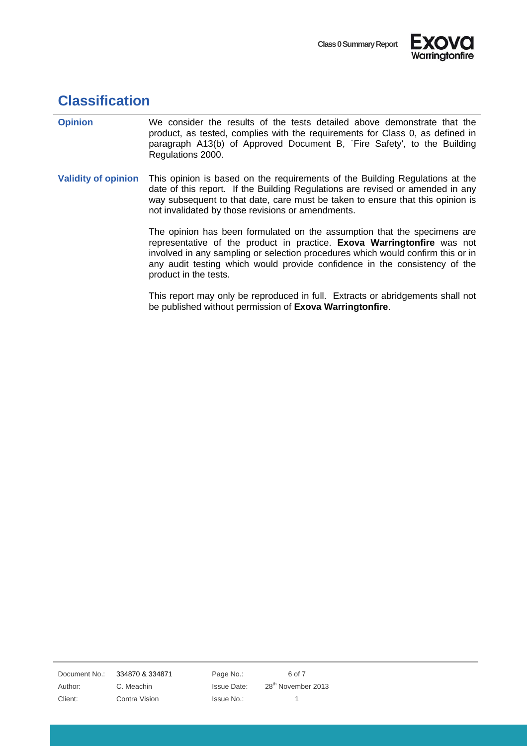



### **Classification**

| <b>Opinion</b>             | We consider the results of the tests detailed above demonstrate that the<br>product, as tested, complies with the requirements for Class 0, as defined in<br>paragraph A13(b) of Approved Document B, `Fire Safety', to the Building<br>Regulations 2000.                                                                                     |
|----------------------------|-----------------------------------------------------------------------------------------------------------------------------------------------------------------------------------------------------------------------------------------------------------------------------------------------------------------------------------------------|
| <b>Validity of opinion</b> | This opinion is based on the requirements of the Building Regulations at the<br>date of this report. If the Building Regulations are revised or amended in any<br>way subsequent to that date, care must be taken to ensure that this opinion is<br>not invalidated by those revisions or amendments.                                         |
|                            | The opinion has been formulated on the assumption that the specimens are<br>representative of the product in practice. Exova Warringtonfire was not<br>involved in any sampling or selection procedures which would confirm this or in<br>any audit testing which would provide confidence in the consistency of the<br>product in the tests. |
|                            | This report may only be reproduced in full. Extracts or abridgements shall not                                                                                                                                                                                                                                                                |

be published without permission of **Exova Warringtonfire**.

Document No.: 334870 & 334871 Page No.: 6 of 7

Client: Contra Vision Issue No.: 1

Author: C. Meachin Issue Date: 28<sup>th</sup> November 2013